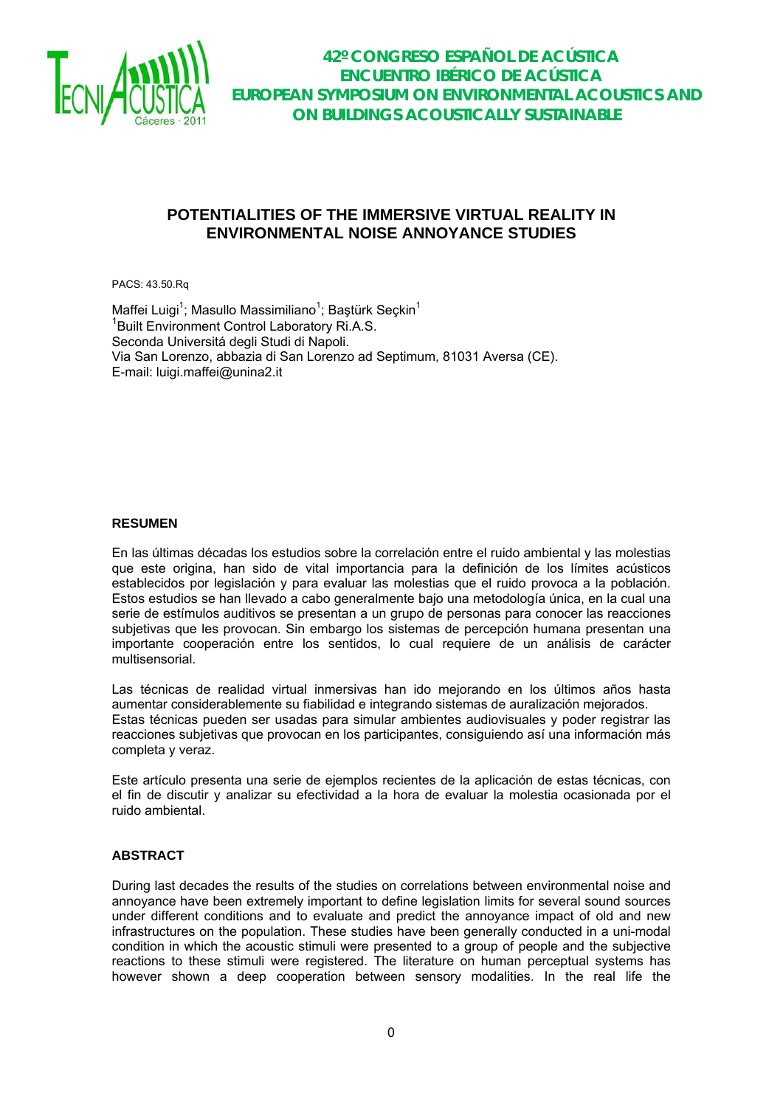

### **POTENTIALITIES OF THE IMMERSIVE VIRTUAL REALITY IN ENVIRONMENTAL NOISE ANNOYANCE STUDIES**

PACS: 43.50.Rq

Maffei Luigi<sup>1</sup>; Masullo Massimiliano<sup>1</sup>; Baştürk Seçkin<sup>1</sup> 1 Built Environment Control Laboratory Ri.A.S. Seconda Universitá degli Studi di Napoli. Via San Lorenzo, abbazia di San Lorenzo ad Septimum, 81031 Aversa (CE). E-mail: luigi.maffei@unina2.it

#### **RESUMEN**

En las últimas décadas los estudios sobre la correlación entre el ruido ambiental y las molestias que este origina, han sido de vital importancia para la definición de los límites acústicos establecidos por legislación y para evaluar las molestias que el ruido provoca a la población. Estos estudios se han llevado a cabo generalmente bajo una metodología única, en la cual una serie de estímulos auditivos se presentan a un grupo de personas para conocer las reacciones subjetivas que les provocan. Sin embargo los sistemas de percepción humana presentan una importante cooperación entre los sentidos, lo cual requiere de un análisis de carácter multisensorial.

Las técnicas de realidad virtual inmersivas han ido mejorando en los últimos años hasta aumentar considerablemente su fiabilidad e integrando sistemas de auralización mejorados. Estas técnicas pueden ser usadas para simular ambientes audiovisuales y poder registrar las reacciones subjetivas que provocan en los participantes, consiguiendo así una información más completa y veraz.

Este artículo presenta una serie de ejemplos recientes de la aplicación de estas técnicas, con el fin de discutir y analizar su efectividad a la hora de evaluar la molestia ocasionada por el ruido ambiental.

### **ABSTRACT**

During last decades the results of the studies on correlations between environmental noise and annoyance have been extremely important to define legislation limits for several sound sources under different conditions and to evaluate and predict the annoyance impact of old and new infrastructures on the population. These studies have been generally conducted in a uni-modal condition in which the acoustic stimuli were presented to a group of people and the subjective reactions to these stimuli were registered. The literature on human perceptual systems has however shown a deep cooperation between sensory modalities. In the real life the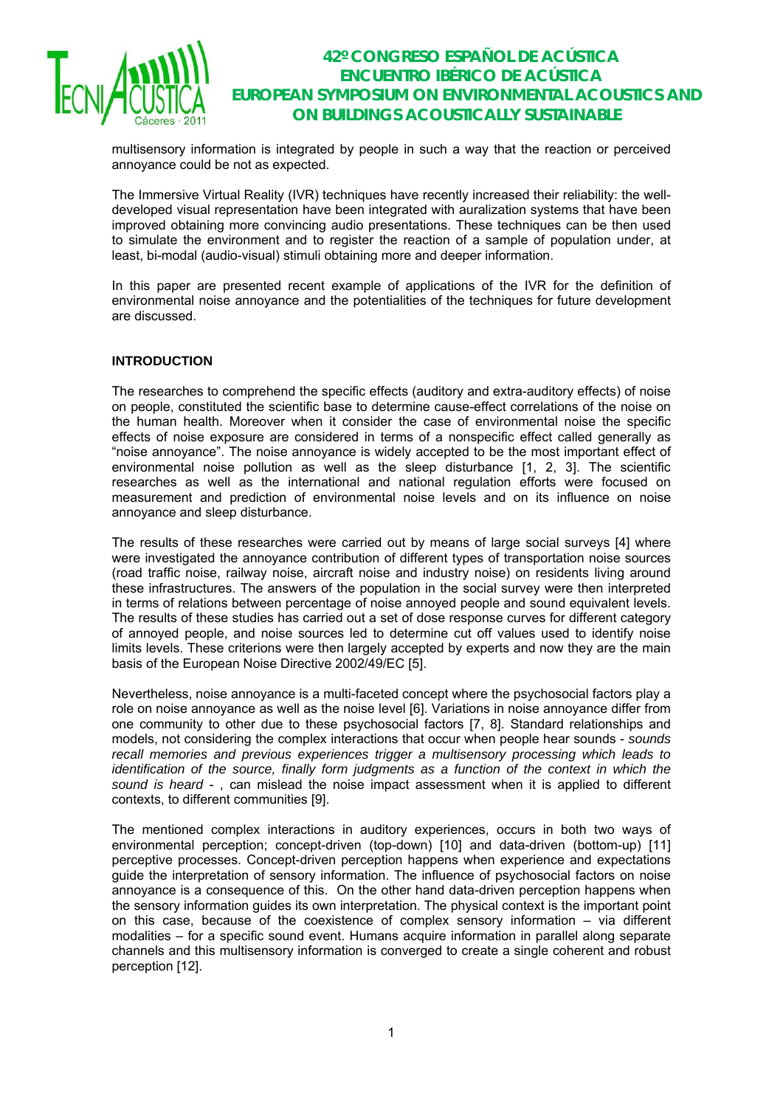

multisensory information is integrated by people in such a way that the reaction or perceived annoyance could be not as expected.

The Immersive Virtual Reality (IVR) techniques have recently increased their reliability: the welldeveloped visual representation have been integrated with auralization systems that have been improved obtaining more convincing audio presentations. These techniques can be then used to simulate the environment and to register the reaction of a sample of population under, at least, bi-modal (audio-visual) stimuli obtaining more and deeper information.

In this paper are presented recent example of applications of the IVR for the definition of environmental noise annoyance and the potentialities of the techniques for future development are discussed.

### **INTRODUCTION**

The researches to comprehend the specific effects (auditory and extra-auditory effects) of noise on people, constituted the scientific base to determine cause-effect correlations of the noise on the human health. Moreover when it consider the case of environmental noise the specific effects of noise exposure are considered in terms of a nonspecific effect called generally as "noise annoyance". The noise annoyance is widely accepted to be the most important effect of environmental noise pollution as well as the sleep disturbance [1, 2, 3]. The scientific researches as well as the international and national regulation efforts were focused on measurement and prediction of environmental noise levels and on its influence on noise annoyance and sleep disturbance.

The results of these researches were carried out by means of large social surveys [4] where were investigated the annoyance contribution of different types of transportation noise sources (road traffic noise, railway noise, aircraft noise and industry noise) on residents living around these infrastructures. The answers of the population in the social survey were then interpreted in terms of relations between percentage of noise annoyed people and sound equivalent levels. The results of these studies has carried out a set of dose response curves for different category of annoyed people, and noise sources led to determine cut off values used to identify noise limits levels. These criterions were then largely accepted by experts and now they are the main basis of the European Noise Directive 2002/49/EC [5].

Nevertheless, noise annoyance is a multi-faceted concept where the psychosocial factors play a role on noise annoyance as well as the noise level [6]. Variations in noise annoyance differ from one community to other due to these psychosocial factors [7, 8]. Standard relationships and models, not considering the complex interactions that occur when people hear sounds - *sounds recall memories and previous experiences trigger a multisensory processing which leads to identification of the source, finally form judgments as a function of the context in which the sound is heard* - , can mislead the noise impact assessment when it is applied to different contexts, to different communities [9].

The mentioned complex interactions in auditory experiences, occurs in both two ways of environmental perception; concept-driven (top-down) [10] and data-driven (bottom-up) [11] perceptive processes. Concept-driven perception happens when experience and expectations guide the interpretation of sensory information. The influence of psychosocial factors on noise annoyance is a consequence of this. On the other hand data-driven perception happens when the sensory information guides its own interpretation. The physical context is the important point on this case, because of the coexistence of complex sensory information – via different modalities – for a specific sound event. Humans acquire information in parallel along separate channels and this multisensory information is converged to create a single coherent and robust perception [12].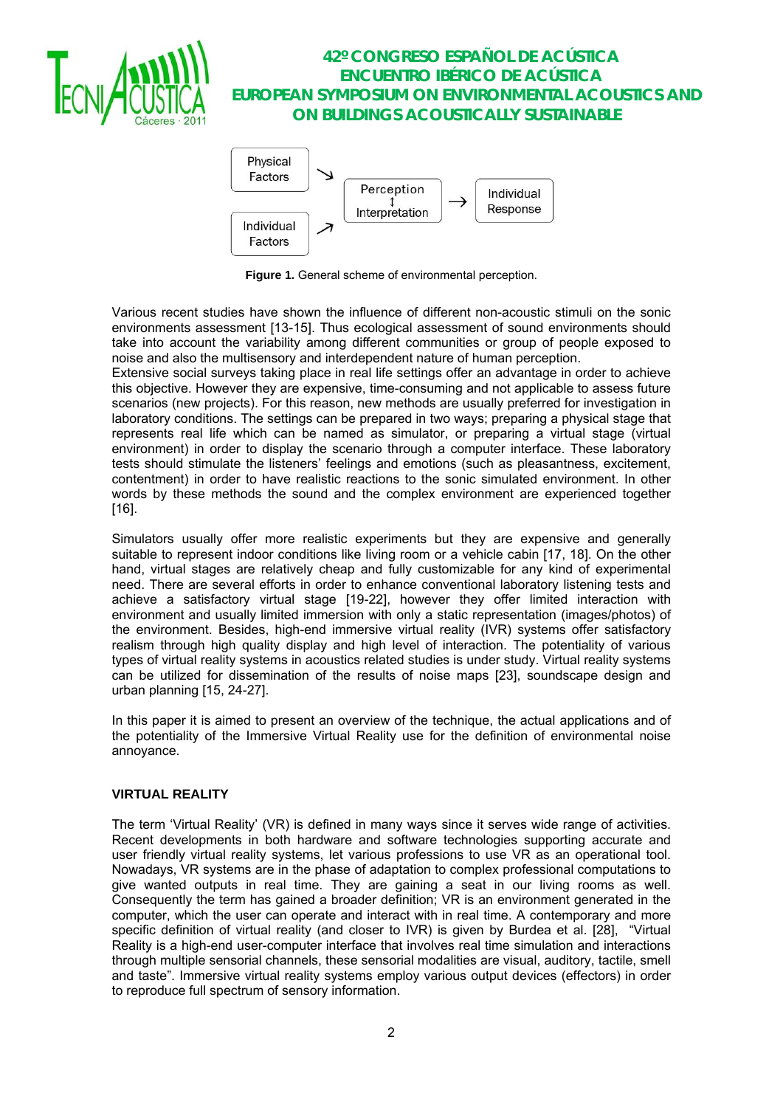



**Figure 1.** General scheme of environmental perception.

Various recent studies have shown the influence of different non-acoustic stimuli on the sonic environments assessment [13-15]. Thus ecological assessment of sound environments should take into account the variability among different communities or group of people exposed to noise and also the multisensory and interdependent nature of human perception.

Extensive social surveys taking place in real life settings offer an advantage in order to achieve this objective. However they are expensive, time-consuming and not applicable to assess future scenarios (new projects). For this reason, new methods are usually preferred for investigation in laboratory conditions. The settings can be prepared in two ways; preparing a physical stage that represents real life which can be named as simulator, or preparing a virtual stage (virtual environment) in order to display the scenario through a computer interface. These laboratory tests should stimulate the listeners' feelings and emotions (such as pleasantness, excitement, contentment) in order to have realistic reactions to the sonic simulated environment. In other words by these methods the sound and the complex environment are experienced together [16].

Simulators usually offer more realistic experiments but they are expensive and generally suitable to represent indoor conditions like living room or a vehicle cabin [17, 18]. On the other hand, virtual stages are relatively cheap and fully customizable for any kind of experimental need. There are several efforts in order to enhance conventional laboratory listening tests and achieve a satisfactory virtual stage [19-22], however they offer limited interaction with environment and usually limited immersion with only a static representation (images/photos) of the environment. Besides, high-end immersive virtual reality (IVR) systems offer satisfactory realism through high quality display and high level of interaction. The potentiality of various types of virtual reality systems in acoustics related studies is under study. Virtual reality systems can be utilized for dissemination of the results of noise maps [23], soundscape design and urban planning [15, 24-27].

In this paper it is aimed to present an overview of the technique, the actual applications and of the potentiality of the Immersive Virtual Reality use for the definition of environmental noise annoyance.

### **VIRTUAL REALITY**

The term 'Virtual Reality' (VR) is defined in many ways since it serves wide range of activities. Recent developments in both hardware and software technologies supporting accurate and user friendly virtual reality systems, let various professions to use VR as an operational tool. Nowadays, VR systems are in the phase of adaptation to complex professional computations to give wanted outputs in real time. They are gaining a seat in our living rooms as well. Consequently the term has gained a broader definition; VR is an environment generated in the computer, which the user can operate and interact with in real time. A contemporary and more specific definition of virtual reality (and closer to IVR) is given by Burdea et al. [28], "Virtual Reality is a high-end user-computer interface that involves real time simulation and interactions through multiple sensorial channels, these sensorial modalities are visual, auditory, tactile, smell and taste". Immersive virtual reality systems employ various output devices (effectors) in order to reproduce full spectrum of sensory information.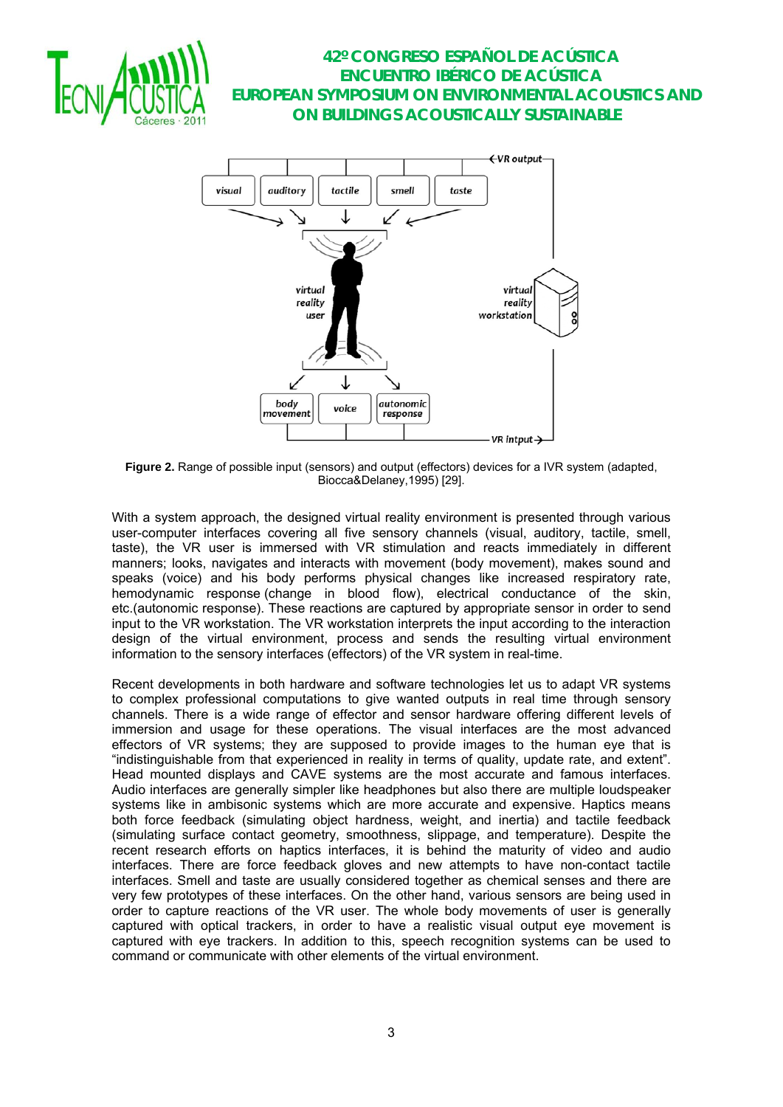



**Figure 2.** Range of possible input (sensors) and output (effectors) devices for a IVR system (adapted, Biocca&Delaney,1995) [29].

With a system approach, the designed virtual reality environment is presented through various user-computer interfaces covering all five sensory channels (visual, auditory, tactile, smell, taste), the VR user is immersed with VR stimulation and reacts immediately in different manners; looks, navigates and interacts with movement (body movement), makes sound and speaks (voice) and his body performs physical changes like increased respiratory rate, hemodynamic response (change in blood flow), electrical conductance of the skin, etc.(autonomic response). These reactions are captured by appropriate sensor in order to send input to the VR workstation. The VR workstation interprets the input according to the interaction design of the virtual environment, process and sends the resulting virtual environment information to the sensory interfaces (effectors) of the VR system in real-time.

Recent developments in both hardware and software technologies let us to adapt VR systems to complex professional computations to give wanted outputs in real time through sensory channels. There is a wide range of effector and sensor hardware offering different levels of immersion and usage for these operations. The visual interfaces are the most advanced effectors of VR systems; they are supposed to provide images to the human eye that is "indistinguishable from that experienced in reality in terms of quality, update rate, and extent". Head mounted displays and CAVE systems are the most accurate and famous interfaces. Audio interfaces are generally simpler like headphones but also there are multiple loudspeaker systems like in ambisonic systems which are more accurate and expensive. Haptics means both force feedback (simulating object hardness, weight, and inertia) and tactile feedback (simulating surface contact geometry, smoothness, slippage, and temperature). Despite the recent research efforts on haptics interfaces, it is behind the maturity of video and audio interfaces. There are force feedback gloves and new attempts to have non-contact tactile interfaces. Smell and taste are usually considered together as chemical senses and there are very few prototypes of these interfaces. On the other hand, various sensors are being used in order to capture reactions of the VR user. The whole body movements of user is generally captured with optical trackers, in order to have a realistic visual output eye movement is captured with eye trackers. In addition to this, speech recognition systems can be used to command or communicate with other elements of the virtual environment.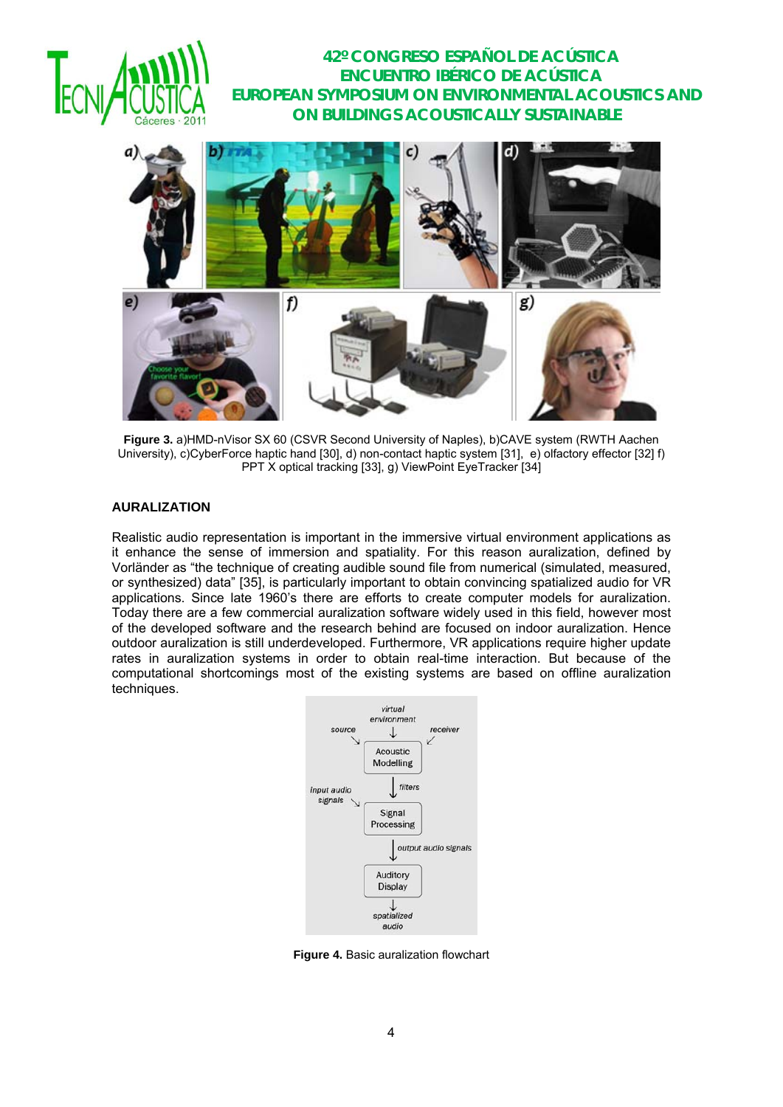



**Figure 3.** a)HMD-nVisor SX 60 (CSVR Second University of Naples), b)CAVE system (RWTH Aachen University), c)CyberForce haptic hand [30], d) non-contact haptic system [31], e) olfactory effector [32] f) PPT X optical tracking [33], g) ViewPoint EyeTracker [34]

#### **AURALIZATION**

Realistic audio representation is important in the immersive virtual environment applications as it enhance the sense of immersion and spatiality. For this reason auralization, defined by Vorländer as "the technique of creating audible sound file from numerical (simulated, measured, or synthesized) data" [35], is particularly important to obtain convincing spatialized audio for VR applications. Since late 1960's there are efforts to create computer models for auralization. Today there are a few commercial auralization software widely used in this field, however most of the developed software and the research behind are focused on indoor auralization. Hence outdoor auralization is still underdeveloped. Furthermore, VR applications require higher update rates in auralization systems in order to obtain real-time interaction. But because of the computational shortcomings most of the existing systems are based on offline auralization techniques.



**Figure 4.** Basic auralization flowchart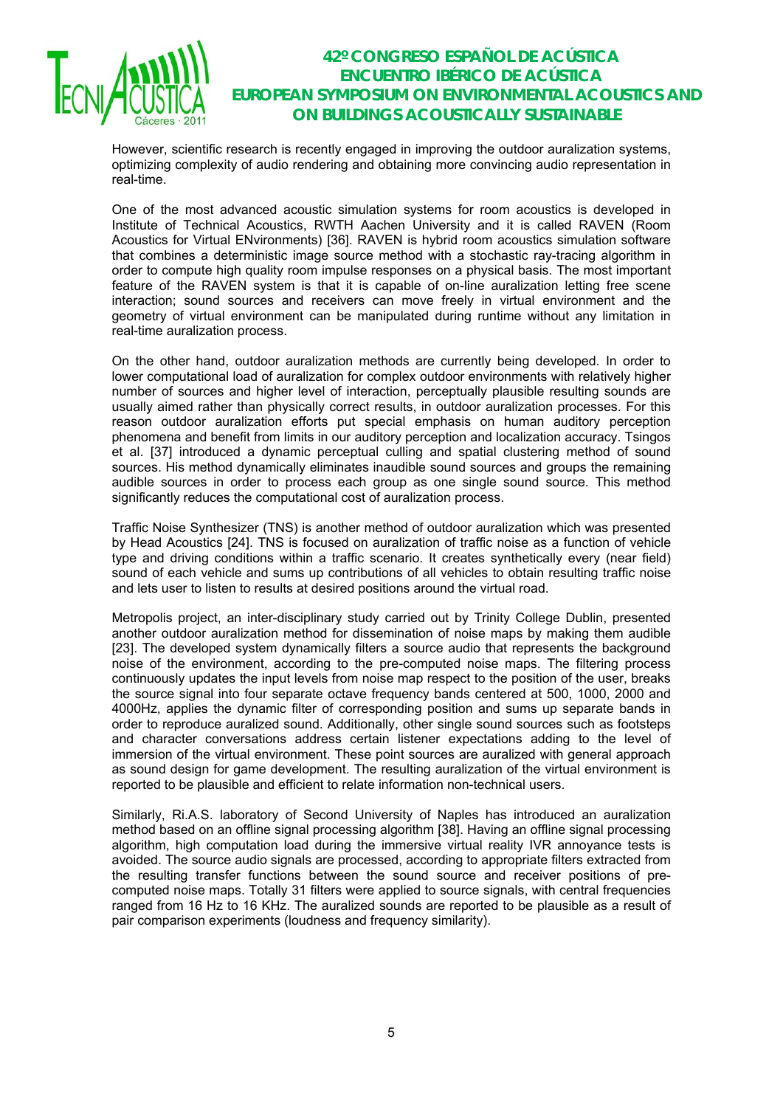

However, scientific research is recently engaged in improving the outdoor auralization systems, optimizing complexity of audio rendering and obtaining more convincing audio representation in real-time.

One of the most advanced acoustic simulation systems for room acoustics is developed in Institute of Technical Acoustics, RWTH Aachen University and it is called RAVEN (Room Acoustics for Virtual ENvironments) [36]. RAVEN is hybrid room acoustics simulation software that combines a deterministic image source method with a stochastic ray-tracing algorithm in order to compute high quality room impulse responses on a physical basis. The most important feature of the RAVEN system is that it is capable of on-line auralization letting free scene interaction; sound sources and receivers can move freely in virtual environment and the geometry of virtual environment can be manipulated during runtime without any limitation in real-time auralization process.

On the other hand, outdoor auralization methods are currently being developed. In order to lower computational load of auralization for complex outdoor environments with relatively higher number of sources and higher level of interaction, perceptually plausible resulting sounds are usually aimed rather than physically correct results, in outdoor auralization processes. For this reason outdoor auralization efforts put special emphasis on human auditory perception phenomena and benefit from limits in our auditory perception and localization accuracy. Tsingos et al. [37] introduced a dynamic perceptual culling and spatial clustering method of sound sources. His method dynamically eliminates inaudible sound sources and groups the remaining audible sources in order to process each group as one single sound source. This method significantly reduces the computational cost of auralization process.

Traffic Noise Synthesizer (TNS) is another method of outdoor auralization which was presented by Head Acoustics [24]. TNS is focused on auralization of traffic noise as a function of vehicle type and driving conditions within a traffic scenario. It creates synthetically every (near field) sound of each vehicle and sums up contributions of all vehicles to obtain resulting traffic noise and lets user to listen to results at desired positions around the virtual road.

Metropolis project, an inter-disciplinary study carried out by Trinity College Dublin, presented another outdoor auralization method for dissemination of noise maps by making them audible [23]. The developed system dynamically filters a source audio that represents the background noise of the environment, according to the pre-computed noise maps. The filtering process continuously updates the input levels from noise map respect to the position of the user, breaks the source signal into four separate octave frequency bands centered at 500, 1000, 2000 and 4000Hz, applies the dynamic filter of corresponding position and sums up separate bands in order to reproduce auralized sound. Additionally, other single sound sources such as footsteps and character conversations address certain listener expectations adding to the level of immersion of the virtual environment. These point sources are auralized with general approach as sound design for game development. The resulting auralization of the virtual environment is reported to be plausible and efficient to relate information non-technical users.

Similarly, Ri.A.S. laboratory of Second University of Naples has introduced an auralization method based on an offline signal processing algorithm [38]. Having an offline signal processing algorithm, high computation load during the immersive virtual reality IVR annoyance tests is avoided. The source audio signals are processed, according to appropriate filters extracted from the resulting transfer functions between the sound source and receiver positions of precomputed noise maps. Totally 31 filters were applied to source signals, with central frequencies ranged from 16 Hz to 16 KHz. The auralized sounds are reported to be plausible as a result of pair comparison experiments (loudness and frequency similarity).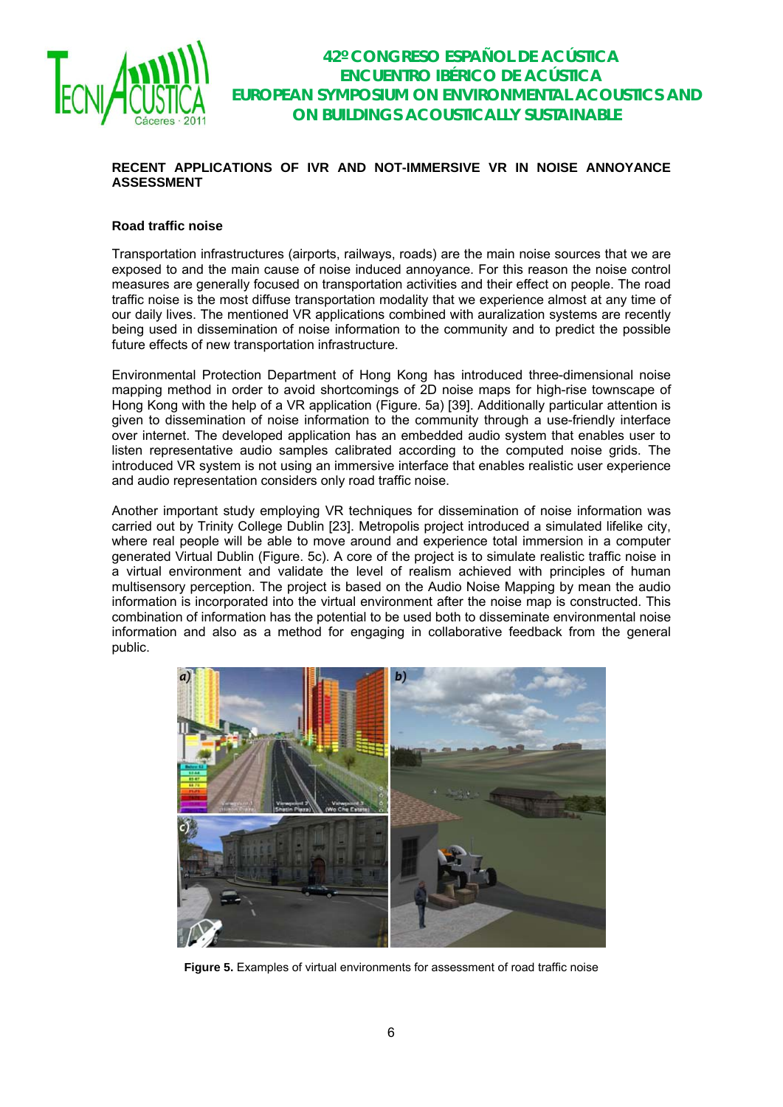

### **RECENT APPLICATIONS OF IVR AND NOT-IMMERSIVE VR IN NOISE ANNOYANCE ASSESSMENT**

#### **Road traffic noise**

Transportation infrastructures (airports, railways, roads) are the main noise sources that we are exposed to and the main cause of noise induced annoyance. For this reason the noise control measures are generally focused on transportation activities and their effect on people. The road traffic noise is the most diffuse transportation modality that we experience almost at any time of our daily lives. The mentioned VR applications combined with auralization systems are recently being used in dissemination of noise information to the community and to predict the possible future effects of new transportation infrastructure.

Environmental Protection Department of Hong Kong has introduced three-dimensional noise mapping method in order to avoid shortcomings of 2D noise maps for high-rise townscape of Hong Kong with the help of a VR application (Figure. 5a) [39]. Additionally particular attention is given to dissemination of noise information to the community through a use-friendly interface over internet. The developed application has an embedded audio system that enables user to listen representative audio samples calibrated according to the computed noise grids. The introduced VR system is not using an immersive interface that enables realistic user experience and audio representation considers only road traffic noise.

Another important study employing VR techniques for dissemination of noise information was carried out by Trinity College Dublin [23]. Metropolis project introduced a simulated lifelike city, where real people will be able to move around and experience total immersion in a computer generated Virtual Dublin (Figure. 5c). A core of the project is to simulate realistic traffic noise in a virtual environment and validate the level of realism achieved with principles of human multisensory perception. The project is based on the Audio Noise Mapping by mean the audio information is incorporated into the virtual environment after the noise map is constructed. This combination of information has the potential to be used both to disseminate environmental noise information and also as a method for engaging in collaborative feedback from the general public.



**Figure 5.** Examples of virtual environments for assessment of road traffic noise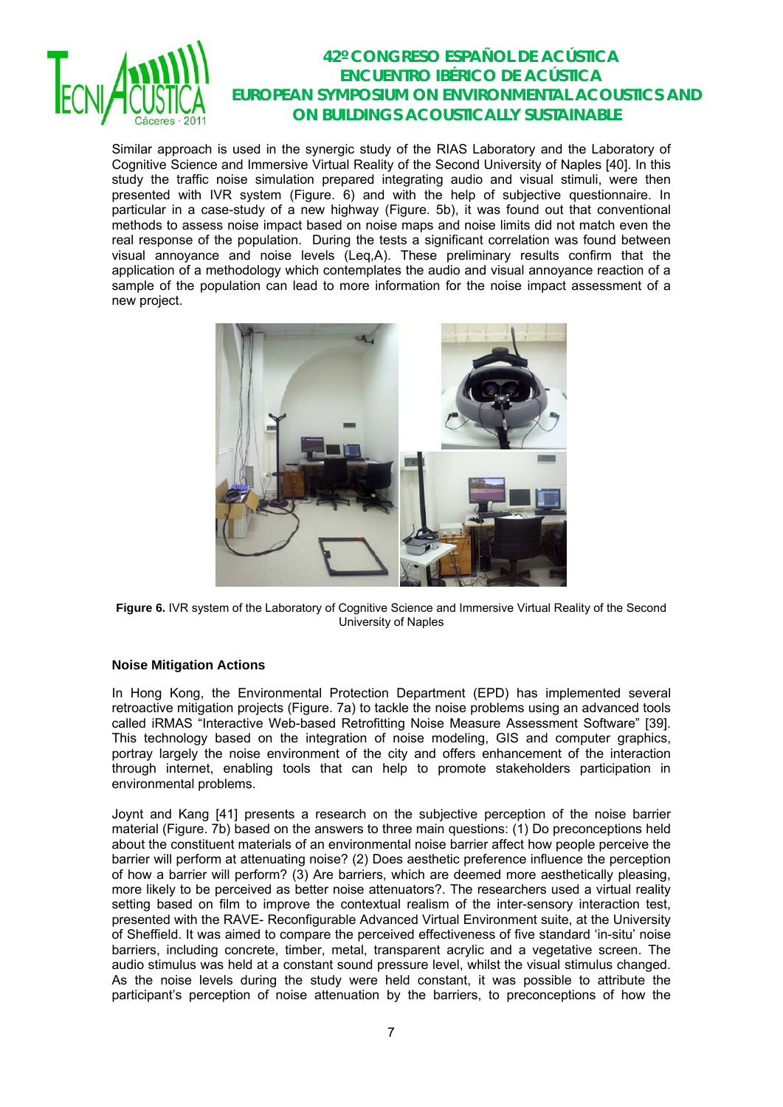

Similar approach is used in the synergic study of the RIAS Laboratory and the Laboratory of Cognitive Science and Immersive Virtual Reality of the Second University of Naples [40]. In this study the traffic noise simulation prepared integrating audio and visual stimuli, were then presented with IVR system (Figure. 6) and with the help of subjective questionnaire. In particular in a case-study of a new highway (Figure. 5b), it was found out that conventional methods to assess noise impact based on noise maps and noise limits did not match even the real response of the population. During the tests a significant correlation was found between visual annoyance and noise levels (Leq,A). These preliminary results confirm that the application of a methodology which contemplates the audio and visual annoyance reaction of a sample of the population can lead to more information for the noise impact assessment of a new project.



**Figure 6.** IVR system of the Laboratory of Cognitive Science and Immersive Virtual Reality of the Second University of Naples

### **Noise Mitigation Actions**

In Hong Kong, the Environmental Protection Department (EPD) has implemented several retroactive mitigation projects (Figure. 7a) to tackle the noise problems using an advanced tools called iRMAS "Interactive Web-based Retrofitting Noise Measure Assessment Software" [39]. This technology based on the integration of noise modeling, GIS and computer graphics, portray largely the noise environment of the city and offers enhancement of the interaction through internet, enabling tools that can help to promote stakeholders participation in environmental problems.

Joynt and Kang [41] presents a research on the subjective perception of the noise barrier material (Figure. 7b) based on the answers to three main questions: (1) Do preconceptions held about the constituent materials of an environmental noise barrier affect how people perceive the barrier will perform at attenuating noise? (2) Does aesthetic preference influence the perception of how a barrier will perform? (3) Are barriers, which are deemed more aesthetically pleasing, more likely to be perceived as better noise attenuators?. The researchers used a virtual reality setting based on film to improve the contextual realism of the inter-sensory interaction test, presented with the RAVE- Reconfigurable Advanced Virtual Environment suite, at the University of Sheffield. It was aimed to compare the perceived effectiveness of five standard 'in-situ' noise barriers, including concrete, timber, metal, transparent acrylic and a vegetative screen. The audio stimulus was held at a constant sound pressure level, whilst the visual stimulus changed. As the noise levels during the study were held constant, it was possible to attribute the participant's perception of noise attenuation by the barriers, to preconceptions of how the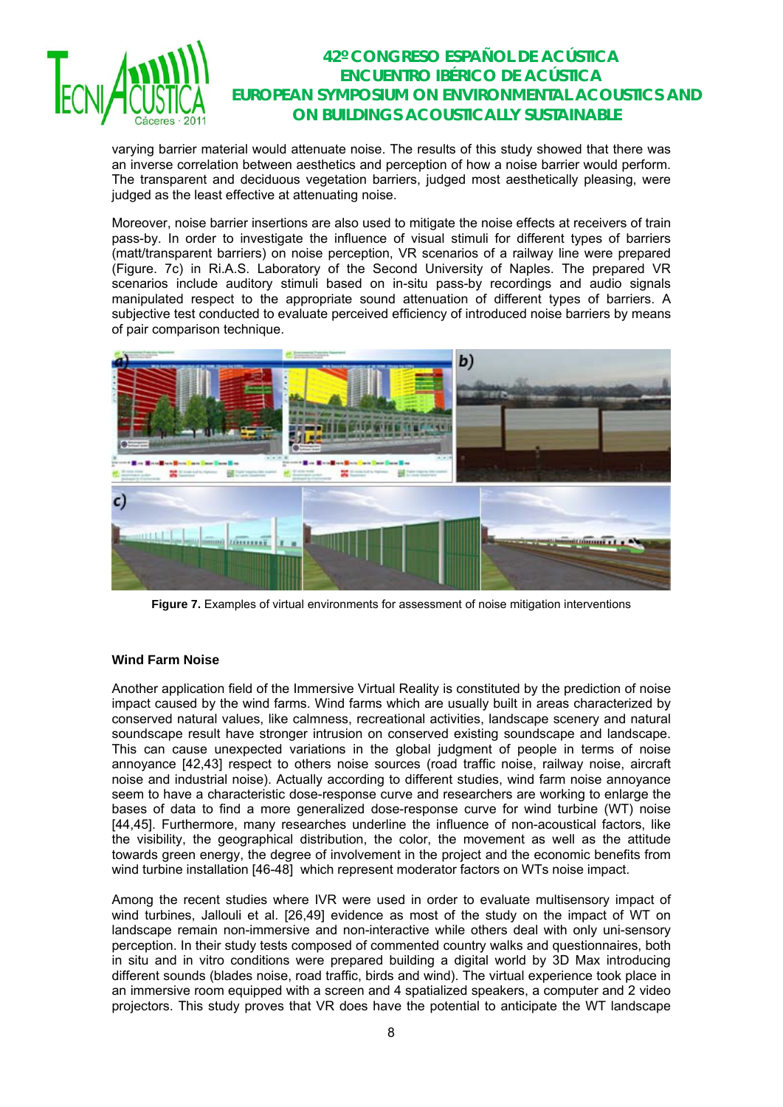

varying barrier material would attenuate noise. The results of this study showed that there was an inverse correlation between aesthetics and perception of how a noise barrier would perform. The transparent and deciduous vegetation barriers, judged most aesthetically pleasing, were judged as the least effective at attenuating noise.

Moreover, noise barrier insertions are also used to mitigate the noise effects at receivers of train pass-by. In order to investigate the influence of visual stimuli for different types of barriers (matt/transparent barriers) on noise perception, VR scenarios of a railway line were prepared (Figure. 7c) in Ri.A.S. Laboratory of the Second University of Naples. The prepared VR scenarios include auditory stimuli based on in-situ pass-by recordings and audio signals manipulated respect to the appropriate sound attenuation of different types of barriers. A subjective test conducted to evaluate perceived efficiency of introduced noise barriers by means of pair comparison technique.



**Figure 7.** Examples of virtual environments for assessment of noise mitigation interventions

### **Wind Farm Noise**

Another application field of the Immersive Virtual Reality is constituted by the prediction of noise impact caused by the wind farms. Wind farms which are usually built in areas characterized by conserved natural values, like calmness, recreational activities, landscape scenery and natural soundscape result have stronger intrusion on conserved existing soundscape and landscape. This can cause unexpected variations in the global judgment of people in terms of noise annoyance [42,43] respect to others noise sources (road traffic noise, railway noise, aircraft noise and industrial noise). Actually according to different studies, wind farm noise annoyance seem to have a characteristic dose-response curve and researchers are working to enlarge the bases of data to find a more generalized dose-response curve for wind turbine (WT) noise [44,45]. Furthermore, many researches underline the influence of non-acoustical factors, like the visibility, the geographical distribution, the color, the movement as well as the attitude towards green energy, the degree of involvement in the project and the economic benefits from wind turbine installation [46-48] which represent moderator factors on WTs noise impact.

Among the recent studies where IVR were used in order to evaluate multisensory impact of wind turbines, Jallouli et al. [26,49] evidence as most of the study on the impact of WT on landscape remain non-immersive and non-interactive while others deal with only uni-sensory perception. In their study tests composed of commented country walks and questionnaires, both in situ and in vitro conditions were prepared building a digital world by 3D Max introducing different sounds (blades noise, road traffic, birds and wind). The virtual experience took place in an immersive room equipped with a screen and 4 spatialized speakers, a computer and 2 video projectors. This study proves that VR does have the potential to anticipate the WT landscape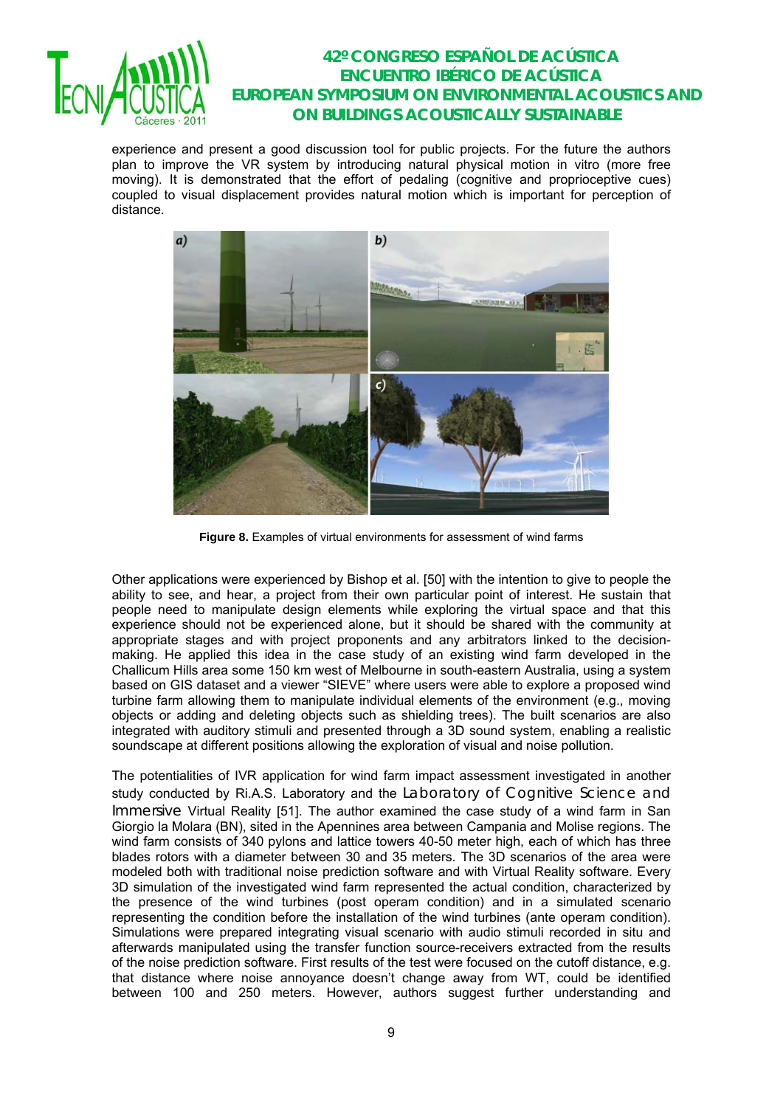

experience and present a good discussion tool for public projects. For the future the authors plan to improve the VR system by introducing natural physical motion in vitro (more free moving). It is demonstrated that the effort of pedaling (cognitive and proprioceptive cues) coupled to visual displacement provides natural motion which is important for perception of distance.



**Figure 8.** Examples of virtual environments for assessment of wind farms

Other applications were experienced by Bishop et al. [50] with the intention to give to people the ability to see, and hear, a project from their own particular point of interest. He sustain that people need to manipulate design elements while exploring the virtual space and that this experience should not be experienced alone, but it should be shared with the community at appropriate stages and with project proponents and any arbitrators linked to the decisionmaking. He applied this idea in the case study of an existing wind farm developed in the Challicum Hills area some 150 km west of Melbourne in south-eastern Australia, using a system based on GIS dataset and a viewer "SIEVE" where users were able to explore a proposed wind turbine farm allowing them to manipulate individual elements of the environment (e.g., moving objects or adding and deleting objects such as shielding trees). The built scenarios are also integrated with auditory stimuli and presented through a 3D sound system, enabling a realistic soundscape at different positions allowing the exploration of visual and noise pollution.

The potentialities of IVR application for wind farm impact assessment investigated in another study conducted by Ri.A.S. Laboratory and the Laboratory of Cognitive Science and Immersive Virtual Reality [51]. The author examined the case study of a wind farm in San Giorgio la Molara (BN), sited in the Apennines area between Campania and Molise regions. The wind farm consists of 340 pylons and lattice towers 40-50 meter high, each of which has three blades rotors with a diameter between 30 and 35 meters. The 3D scenarios of the area were modeled both with traditional noise prediction software and with Virtual Reality software. Every 3D simulation of the investigated wind farm represented the actual condition, characterized by the presence of the wind turbines (post operam condition) and in a simulated scenario representing the condition before the installation of the wind turbines (ante operam condition). Simulations were prepared integrating visual scenario with audio stimuli recorded in situ and afterwards manipulated using the transfer function source-receivers extracted from the results of the noise prediction software. First results of the test were focused on the cutoff distance, e.g. that distance where noise annoyance doesn't change away from WT, could be identified between 100 and 250 meters. However, authors suggest further understanding and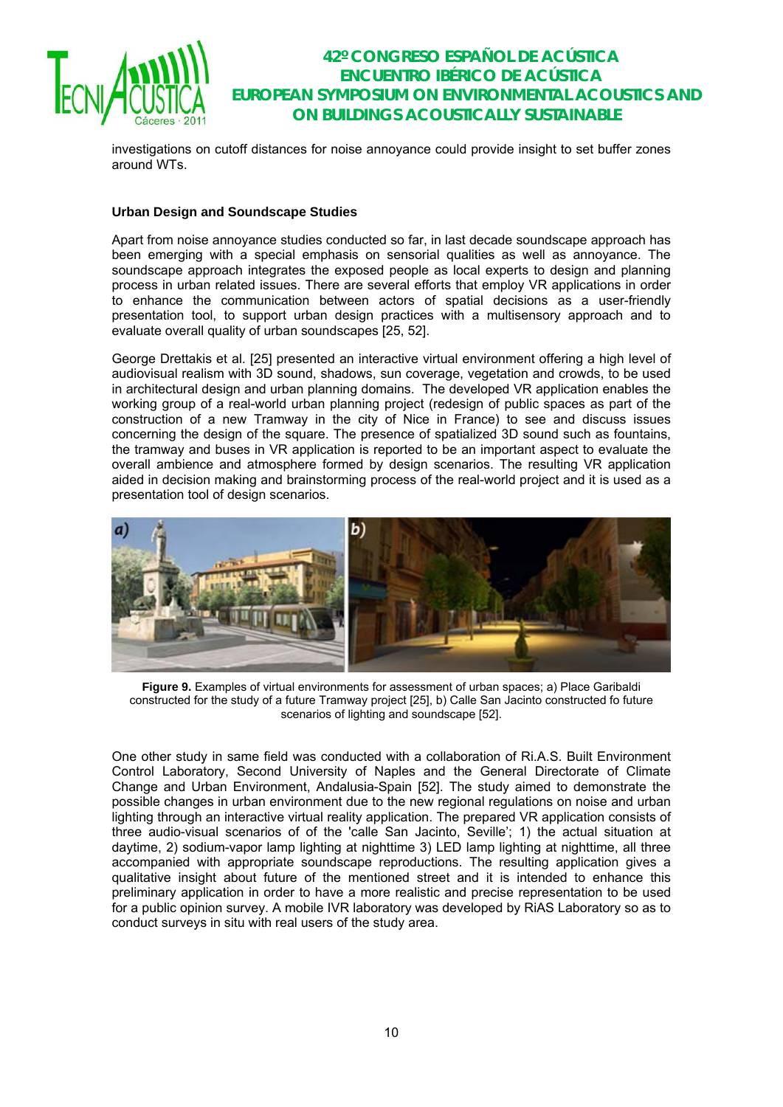

investigations on cutoff distances for noise annoyance could provide insight to set buffer zones around WTs.

### **Urban Design and Soundscape Studies**

Apart from noise annoyance studies conducted so far, in last decade soundscape approach has been emerging with a special emphasis on sensorial qualities as well as annoyance. The soundscape approach integrates the exposed people as local experts to design and planning process in urban related issues. There are several efforts that employ VR applications in order to enhance the communication between actors of spatial decisions as a user-friendly presentation tool, to support urban design practices with a multisensory approach and to evaluate overall quality of urban soundscapes [25, 52].

George Drettakis et al. [25] presented an interactive virtual environment offering a high level of audiovisual realism with 3D sound, shadows, sun coverage, vegetation and crowds, to be used in architectural design and urban planning domains. The developed VR application enables the working group of a real-world urban planning project (redesign of public spaces as part of the construction of a new Tramway in the city of Nice in France) to see and discuss issues concerning the design of the square. The presence of spatialized 3D sound such as fountains, the tramway and buses in VR application is reported to be an important aspect to evaluate the overall ambience and atmosphere formed by design scenarios. The resulting VR application aided in decision making and brainstorming process of the real-world project and it is used as a presentation tool of design scenarios.



**Figure 9.** Examples of virtual environments for assessment of urban spaces; a) Place Garibaldi constructed for the study of a future Tramway project [25], b) Calle San Jacinto constructed fo future scenarios of lighting and soundscape [52].

One other study in same field was conducted with a collaboration of Ri.A.S. Built Environment Control Laboratory, Second University of Naples and the General Directorate of Climate Change and Urban Environment, Andalusia-Spain [52]. The study aimed to demonstrate the possible changes in urban environment due to the new regional regulations on noise and urban lighting through an interactive virtual reality application. The prepared VR application consists of three audio-visual scenarios of of the 'calle San Jacinto, Seville'; 1) the actual situation at daytime, 2) sodium-vapor lamp lighting at nighttime 3) LED lamp lighting at nighttime, all three accompanied with appropriate soundscape reproductions. The resulting application gives a qualitative insight about future of the mentioned street and it is intended to enhance this preliminary application in order to have a more realistic and precise representation to be used for a public opinion survey. A mobile IVR laboratory was developed by RiAS Laboratory so as to conduct surveys in situ with real users of the study area.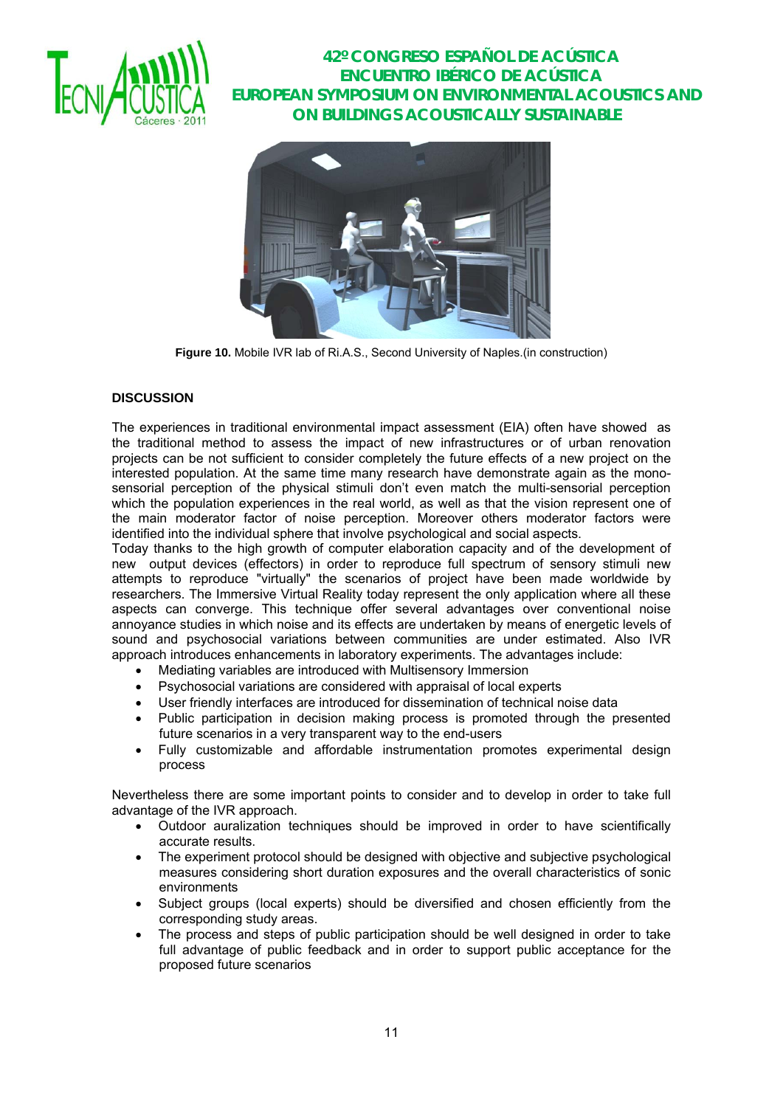



**Figure 10.** Mobile IVR lab of Ri.A.S., Second University of Naples.(in construction)

### **DISCUSSION**

The experiences in traditional environmental impact assessment (EIA) often have showed as the traditional method to assess the impact of new infrastructures or of urban renovation projects can be not sufficient to consider completely the future effects of a new project on the interested population. At the same time many research have demonstrate again as the monosensorial perception of the physical stimuli don't even match the multi-sensorial perception which the population experiences in the real world, as well as that the vision represent one of the main moderator factor of noise perception. Moreover others moderator factors were identified into the individual sphere that involve psychological and social aspects.

Today thanks to the high growth of computer elaboration capacity and of the development of new output devices (effectors) in order to reproduce full spectrum of sensory stimuli new attempts to reproduce "virtually" the scenarios of project have been made worldwide by researchers. The Immersive Virtual Reality today represent the only application where all these aspects can converge. This technique offer several advantages over conventional noise annoyance studies in which noise and its effects are undertaken by means of energetic levels of sound and psychosocial variations between communities are under estimated. Also IVR approach introduces enhancements in laboratory experiments. The advantages include:

- Mediating variables are introduced with Multisensory Immersion
- Psychosocial variations are considered with appraisal of local experts
- User friendly interfaces are introduced for dissemination of technical noise data
- Public participation in decision making process is promoted through the presented future scenarios in a very transparent way to the end-users
- Fully customizable and affordable instrumentation promotes experimental design process

Nevertheless there are some important points to consider and to develop in order to take full advantage of the IVR approach.

- Outdoor auralization techniques should be improved in order to have scientifically accurate results.
- The experiment protocol should be designed with objective and subjective psychological measures considering short duration exposures and the overall characteristics of sonic environments
- Subject groups (local experts) should be diversified and chosen efficiently from the corresponding study areas.
- The process and steps of public participation should be well designed in order to take full advantage of public feedback and in order to support public acceptance for the proposed future scenarios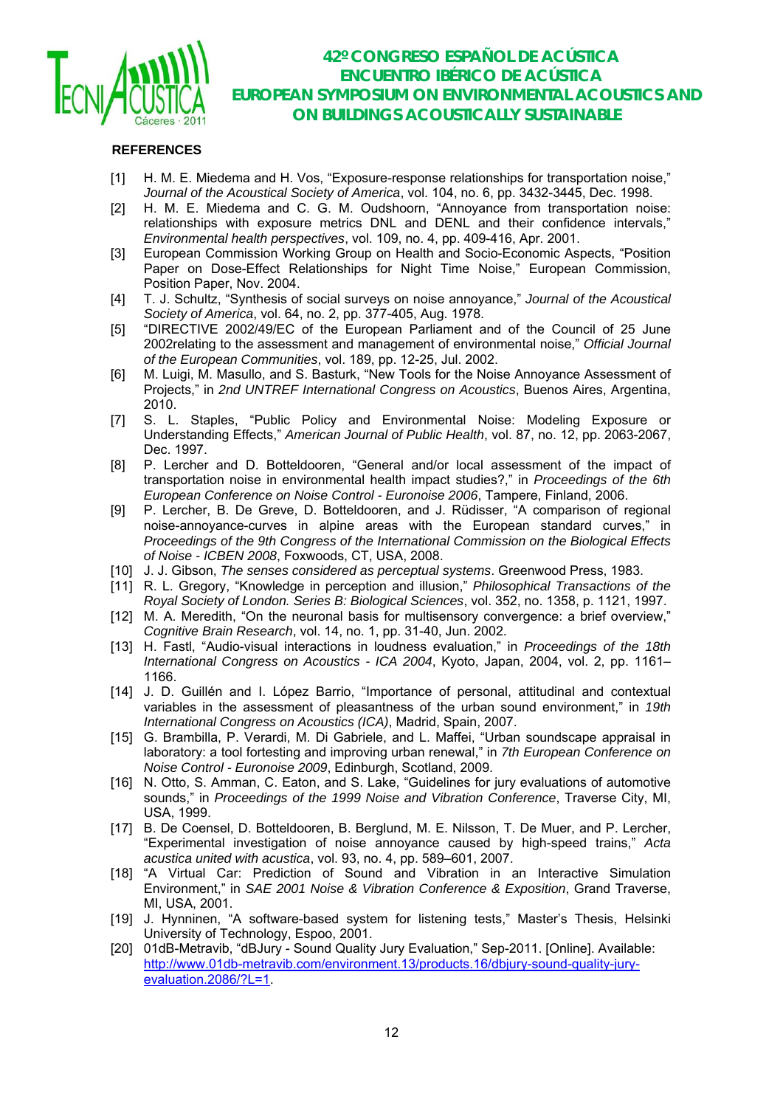

### **REFERENCES**

- [1] H. M. E. Miedema and H. Vos, "Exposure-response relationships for transportation noise," *Journal of the Acoustical Society of America*, vol. 104, no. 6, pp. 3432-3445, Dec. 1998.
- [2] H. M. E. Miedema and C. G. M. Oudshoorn, "Annoyance from transportation noise: relationships with exposure metrics DNL and DENL and their confidence intervals," *Environmental health perspectives*, vol. 109, no. 4, pp. 409-416, Apr. 2001.
- [3] European Commission Working Group on Health and Socio-Economic Aspects, "Position Paper on Dose-Effect Relationships for Night Time Noise," European Commission, Position Paper, Nov. 2004.
- [4] T. J. Schultz, "Synthesis of social surveys on noise annoyance," *Journal of the Acoustical Society of America*, vol. 64, no. 2, pp. 377-405, Aug. 1978.
- [5] "DIRECTIVE 2002/49/EC of the European Parliament and of the Council of 25 June 2002relating to the assessment and management of environmental noise," *Official Journal of the European Communities*, vol. 189, pp. 12-25, Jul. 2002.
- [6] M. Luigi, M. Masullo, and S. Basturk, "New Tools for the Noise Annoyance Assessment of Projects," in *2nd UNTREF International Congress on Acoustics*, Buenos Aires, Argentina, 2010.
- [7] S. L. Staples, "Public Policy and Environmental Noise: Modeling Exposure or Understanding Effects," *American Journal of Public Health*, vol. 87, no. 12, pp. 2063-2067, Dec. 1997.
- [8] P. Lercher and D. Botteldooren, "General and/or local assessment of the impact of transportation noise in environmental health impact studies?," in *Proceedings of the 6th European Conference on Noise Control - Euronoise 2006*, Tampere, Finland, 2006.
- [9] P. Lercher, B. De Greve, D. Botteldooren, and J. Rüdisser, "A comparison of regional noise-annoyance-curves in alpine areas with the European standard curves," in *Proceedings of the 9th Congress of the International Commission on the Biological Effects of Noise - ICBEN 2008*, Foxwoods, CT, USA, 2008.
- [10] J. J. Gibson, *The senses considered as perceptual systems*. Greenwood Press, 1983.
- [11] R. L. Gregory, "Knowledge in perception and illusion," *Philosophical Transactions of the Royal Society of London. Series B: Biological Sciences*, vol. 352, no. 1358, p. 1121, 1997.
- [12] M. A. Meredith, "On the neuronal basis for multisensory convergence: a brief overview." *Cognitive Brain Research*, vol. 14, no. 1, pp. 31-40, Jun. 2002.
- [13] H. Fastl, "Audio-visual interactions in loudness evaluation," in *Proceedings of the 18th International Congress on Acoustics - ICA 2004*, Kyoto, Japan, 2004, vol. 2, pp. 1161– 1166.
- [14] J. D. Guillén and I. López Barrio, "Importance of personal, attitudinal and contextual variables in the assessment of pleasantness of the urban sound environment," in *19th International Congress on Acoustics (ICA)*, Madrid, Spain, 2007.
- [15] G. Brambilla, P. Verardi, M. Di Gabriele, and L. Maffei, "Urban soundscape appraisal in laboratory: a tool fortesting and improving urban renewal," in *7th European Conference on Noise Control - Euronoise 2009*, Edinburgh, Scotland, 2009.
- [16] N. Otto, S. Amman, C. Eaton, and S. Lake, "Guidelines for jury evaluations of automotive sounds," in *Proceedings of the 1999 Noise and Vibration Conference*, Traverse City, MI, USA, 1999.
- [17] B. De Coensel, D. Botteldooren, B. Berglund, M. E. Nilsson, T. De Muer, and P. Lercher, "Experimental investigation of noise annoyance caused by high-speed trains," *Acta acustica united with acustica*, vol. 93, no. 4, pp. 589–601, 2007.
- [18] "A Virtual Car: Prediction of Sound and Vibration in an Interactive Simulation Environment," in *SAE 2001 Noise & Vibration Conference & Exposition*, Grand Traverse, MI, USA, 2001.
- [19] J. Hynninen, "A software-based system for listening tests," Master's Thesis, Helsinki University of Technology, Espoo, 2001.
- [20] 01dB-Metravib, "dBJury Sound Quality Jury Evaluation," Sep-2011. [Online]. Available: http://www.01db-metravib.com/environment.13/products.16/dbjury-sound-quality-juryevaluation.2086/?L=1.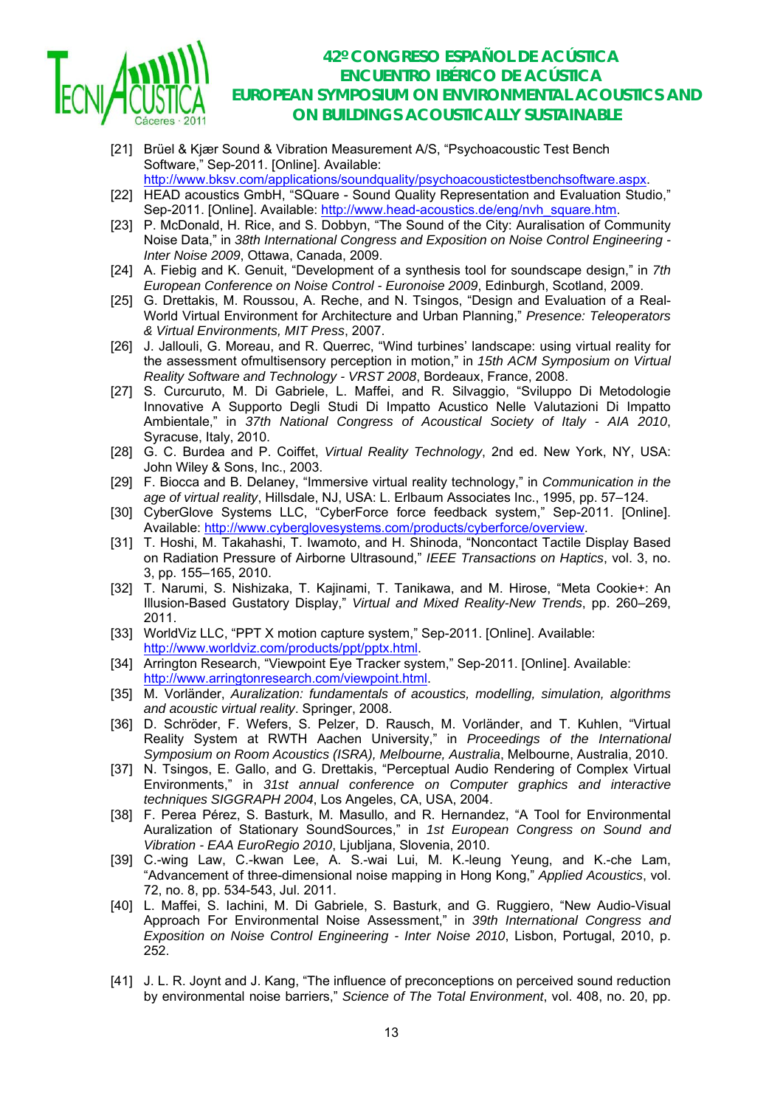

- [21] Brüel & Kjær Sound & Vibration Measurement A/S, "Psychoacoustic Test Bench Software," Sep-2011. [Online]. Available:
- http://www.bksv.com/applications/soundquality/psychoacoustictestbenchsoftware.aspx. [22] HEAD acoustics GmbH, "SQuare - Sound Quality Representation and Evaluation Studio," Sep-2011. [Online]. Available: http://www.head-acoustics.de/eng/nvh\_square.htm.
- [23] P. McDonald, H. Rice, and S. Dobbyn, "The Sound of the City: Auralisation of Community Noise Data," in *38th International Congress and Exposition on Noise Control Engineering - Inter Noise 2009*, Ottawa, Canada, 2009.
- [24] A. Fiebig and K. Genuit, "Development of a synthesis tool for soundscape design," in *7th European Conference on Noise Control - Euronoise 2009*, Edinburgh, Scotland, 2009.
- [25] G. Drettakis, M. Roussou, A. Reche, and N. Tsingos, "Design and Evaluation of a Real-World Virtual Environment for Architecture and Urban Planning," *Presence: Teleoperators & Virtual Environments, MIT Press*, 2007.
- [26] J. Jallouli, G. Moreau, and R. Querrec, "Wind turbines' landscape: using virtual reality for the assessment ofmultisensory perception in motion," in *15th ACM Symposium on Virtual Reality Software and Technology - VRST 2008*, Bordeaux, France, 2008.
- [27] S. Curcuruto, M. Di Gabriele, L. Maffei, and R. Silvaggio, "Sviluppo Di Metodologie Innovative A Supporto Degli Studi Di Impatto Acustico Nelle Valutazioni Di Impatto Ambientale," in *37th National Congress of Acoustical Society of Italy - AIA 2010*, Syracuse, Italy, 2010.
- [28] G. C. Burdea and P. Coiffet, *Virtual Reality Technology*, 2nd ed. New York, NY, USA: John Wiley & Sons, Inc., 2003.
- [29] F. Biocca and B. Delaney, "Immersive virtual reality technology," in *Communication in the age of virtual reality*, Hillsdale, NJ, USA: L. Erlbaum Associates Inc., 1995, pp. 57–124.
- [30] CyberGlove Systems LLC, "CyberForce force feedback system," Sep-2011, [Online]. Available: http://www.cyberglovesystems.com/products/cyberforce/overview.
- [31] T. Hoshi, M. Takahashi, T. Iwamoto, and H. Shinoda, "Noncontact Tactile Display Based on Radiation Pressure of Airborne Ultrasound," *IEEE Transactions on Haptics*, vol. 3, no. 3, pp. 155–165, 2010.
- [32] T. Narumi, S. Nishizaka, T. Kajinami, T. Tanikawa, and M. Hirose, "Meta Cookie+: An Illusion-Based Gustatory Display," *Virtual and Mixed Reality-New Trends*, pp. 260–269, 2011.
- [33] WorldViz LLC, "PPT X motion capture system," Sep-2011. [Online]. Available: http://www.worldviz.com/products/ppt/pptx.html.
- [34] Arrington Research, "Viewpoint Eye Tracker system," Sep-2011. [Online]. Available: http://www.arringtonresearch.com/viewpoint.html.
- [35] M. Vorländer, *Auralization: fundamentals of acoustics, modelling, simulation, algorithms and acoustic virtual reality*. Springer, 2008.
- [36] D. Schröder, F. Wefers, S. Pelzer, D. Rausch, M. Vorländer, and T. Kuhlen, "Virtual Reality System at RWTH Aachen University," in *Proceedings of the International Symposium on Room Acoustics (ISRA), Melbourne, Australia*, Melbourne, Australia, 2010.
- [37] N. Tsingos, E. Gallo, and G. Drettakis, "Perceptual Audio Rendering of Complex Virtual Environments," in *31st annual conference on Computer graphics and interactive techniques SIGGRAPH 2004*, Los Angeles, CA, USA, 2004.
- [38] F. Perea Pérez, S. Basturk, M. Masullo, and R. Hernandez, "A Tool for Environmental Auralization of Stationary SoundSources," in *1st European Congress on Sound and Vibration - EAA EuroRegio 2010*, Ljubljana, Slovenia, 2010.
- [39] C.-wing Law, C.-kwan Lee, A. S.-wai Lui, M. K.-leung Yeung, and K.-che Lam, "Advancement of three-dimensional noise mapping in Hong Kong," *Applied Acoustics*, vol. 72, no. 8, pp. 534-543, Jul. 2011.
- [40] L. Maffei, S. Iachini, M. Di Gabriele, S. Basturk, and G. Ruggiero, "New Audio-Visual Approach For Environmental Noise Assessment," in *39th International Congress and Exposition on Noise Control Engineering - Inter Noise 2010*, Lisbon, Portugal, 2010, p. 252.
- [41] J. L. R. Joynt and J. Kang, "The influence of preconceptions on perceived sound reduction by environmental noise barriers," *Science of The Total Environment*, vol. 408, no. 20, pp.